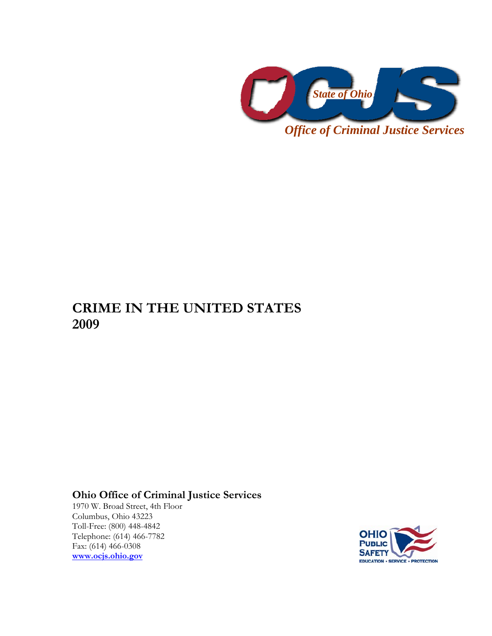

**CRIME IN THE UNITED STATES 2009** 

**Ohio Office of Criminal Justice Services** 

1970 W. Broad Street, 4th Floor Columbus, Ohio 43223 Toll-Free: (800) 448-4842 Telephone: (614) 466-7782 Fax: (614) 466-0308 **[www.ocjs.ohio.gov](http://www.ocjs.ohio.gov/)**

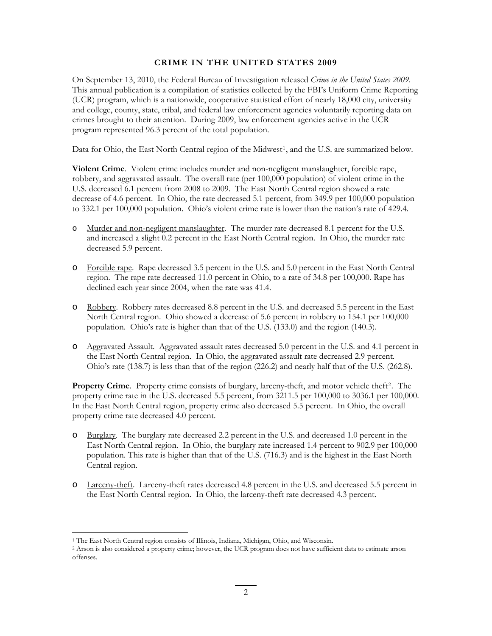## **CRIME IN THE UNITED STATES 2009**

On September 13, 2010, the Federal Bureau of Investigation released *Crime in the United States 2009*. This annual publication is a compilation of statistics collected by the FBI's Uniform Crime Reporting (UCR) program, which is a nationwide, cooperative statistical effort of nearly 18,000 city, university and college, county, state, tribal, and federal law enforcement agencies voluntarily reporting data on crimes brought to their attention. During 2009, law enforcement agencies active in the UCR program represented 96.3 percent of the total population.

Data for Ohio, the East North Central region of the Midwest<sup>[1](#page-1-0)</sup>, and the U.S. are summarized below.

**Violent Crime**. Violent crime includes murder and non-negligent manslaughter, forcible rape, robbery, and aggravated assault. The overall rate (per 100,000 population) of violent crime in the U.S. decreased 6.1 percent from 2008 to 2009. The East North Central region showed a rate decrease of 4.6 percent. In Ohio, the rate decreased 5.1 percent, from 349.9 per 100,000 population to 332.1 per 100,000 population. Ohio's violent crime rate is lower than the nation's rate of 429.4.

- o Murder and non-negligent manslaughter. The murder rate decreased 8.1 percent for the U.S. and increased a slight 0.2 percent in the East North Central region. In Ohio, the murder rate decreased 5.9 percent.
- o Forcible rape. Rape decreased 3.5 percent in the U.S. and 5.0 percent in the East North Central region. The rape rate decreased 11.0 percent in Ohio, to a rate of 34.8 per 100,000. Rape has declined each year since 2004, when the rate was 41.4.
- o Robbery. Robbery rates decreased 8.8 percent in the U.S. and decreased 5.5 percent in the East North Central region. Ohio showed a decrease of 5.6 percent in robbery to 154.1 per 100,000 population. Ohio's rate is higher than that of the U.S. (133.0) and the region (140.3).
- o Aggravated Assault. Aggravated assault rates decreased 5.0 percent in the U.S. and 4.1 percent in the East North Central region. In Ohio, the aggravated assault rate decreased 2.9 percent. Ohio's rate (138.7) is less than that of the region (226.2) and nearly half that of the U.S. (262.8).

**Property Crime**. Property crime consists of burglary, larceny-theft, and motor vehicle theft<sup>[2](#page-1-1)</sup>. The property crime rate in the U.S. decreased 5.5 percent, from 3211.5 per 100,000 to 3036.1 per 100,000. In the East North Central region, property crime also decreased 5.5 percent. In Ohio, the overall property crime rate decreased 4.0 percent.

- o Burglary. The burglary rate decreased 2.2 percent in the U.S. and decreased 1.0 percent in the East North Central region. In Ohio, the burglary rate increased 1.4 percent to 902.9 per 100,000 population. This rate is higher than that of the U.S. (716.3) and is the highest in the East North Central region.
- o Larceny-theft. Larceny-theft rates decreased 4.8 percent in the U.S. and decreased 5.5 percent in the East North Central region. In Ohio, the larceny-theft rate decreased 4.3 percent.

<u>.</u>

<span id="page-1-0"></span><sup>1</sup> The East North Central region consists of Illinois, Indiana, Michigan, Ohio, and Wisconsin.

<span id="page-1-1"></span><sup>2</sup> Arson is also considered a property crime; however, the UCR program does not have sufficient data to estimate arson offenses.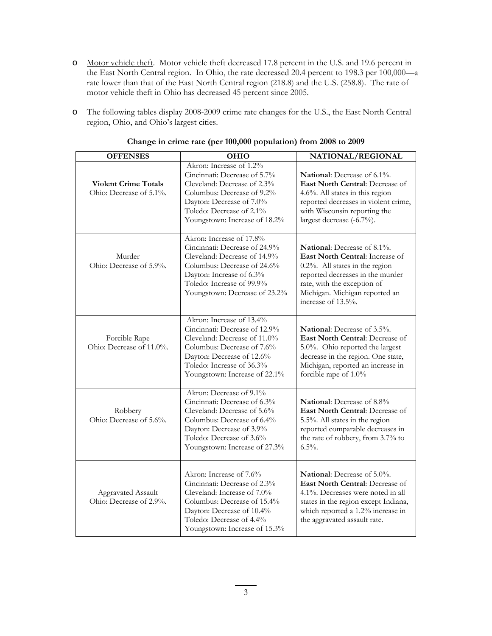- o Motor vehicle theft. Motor vehicle theft decreased 17.8 percent in the U.S. and 19.6 percent in the East North Central region. In Ohio, the rate decreased 20.4 percent to 198.3 per 100,000—a rate lower than that of the East North Central region (218.8) and the U.S. (258.8). The rate of motor vehicle theft in Ohio has decreased 45 percent since 2005.
- o The following tables display 2008-2009 crime rate changes for the U.S., the East North Central region, Ohio, and Ohio's largest cities.

| <b>OFFENSES</b>                                        | <b>OHIO</b>                                                                                                                                                                                                        | NATIONAL/REGIONAL                                                                                                                                                                                                                  |
|--------------------------------------------------------|--------------------------------------------------------------------------------------------------------------------------------------------------------------------------------------------------------------------|------------------------------------------------------------------------------------------------------------------------------------------------------------------------------------------------------------------------------------|
| <b>Violent Crime Totals</b><br>Ohio: Decrease of 5.1%. | Akron: Increase of 1.2%<br>Cincinnati: Decrease of 5.7%<br>Cleveland: Decrease of 2.3%<br>Columbus: Decrease of 9.2%<br>Dayton: Decrease of 7.0%<br>Toledo: Decrease of 2.1%<br>Youngstown: Increase of 18.2%      | <b>National:</b> Decrease of $6.1\%$ .<br><b>East North Central: Decrease of</b><br>4.6%. All states in this region<br>reported decreases in violent crime,<br>with Wisconsin reporting the<br>largest decrease (-6.7%).           |
| Murder<br>Ohio: Decrease of 5.9%.                      | Akron: Increase of 17.8%<br>Cincinnati: Decrease of 24.9%<br>Cleveland: Decrease of 14.9%<br>Columbus: Decrease of 24.6%<br>Dayton: Increase of 6.3%<br>Toledo: Increase of 99.9%<br>Youngstown: Decrease of 23.2% | <b>National:</b> Decrease of 8.1%.<br>East North Central: Increase of<br>0.2%. All states in the region<br>reported decreases in the murder<br>rate, with the exception of<br>Michigan. Michigan reported an<br>increase of 13.5%. |
| Forcible Rape<br>Ohio: Decrease of 11.0%.              | Akron: Increase of 13.4%<br>Cincinnati: Decrease of 12.9%<br>Cleveland: Decrease of 11.0%<br>Columbus: Decrease of 7.6%<br>Dayton: Decrease of 12.6%<br>Toledo: Increase of 36.3%<br>Youngstown: Increase of 22.1% | <b>National:</b> Decrease of 3.5%.<br>East North Central: Decrease of<br>5.0%. Ohio reported the largest<br>decrease in the region. One state,<br>Michigan, reported an increase in<br>forcible rape of 1.0%                       |
| Robbery<br>Ohio: Decrease of 5.6%.                     | Akron: Decrease of 9.1%<br>Cincinnati: Decrease of 6.3%<br>Cleveland: Decrease of 5.6%<br>Columbus: Decrease of 6.4%<br>Dayton: Decrease of 3.9%<br>Toledo: Decrease of 3.6%<br>Youngstown: Increase of 27.3%      | National: Decrease of 8.8%<br>East North Central: Decrease of<br>5.5%. All states in the region<br>reported comparable decreases in<br>the rate of robbery, from 3.7% to<br>$6.5\%$ .                                              |
| Aggravated Assault<br>Ohio: Decrease of 2.9%.          | Akron: Increase of 7.6%<br>Cincinnati: Decrease of 2.3%<br>Cleveland: Increase of 7.0%<br>Columbus: Decrease of 15.4%<br>Dayton: Decrease of 10.4%<br>Toledo: Decrease of 4.4%<br>Youngstown: Increase of 15.3%    | National: Decrease of 5.0%.<br><b>East North Central: Decrease of</b><br>4.1%. Decreases were noted in all<br>states in the region except Indiana,<br>which reported a 1.2% increase in<br>the aggravated assault rate.            |

## **Change in crime rate (per 100,000 population) from 2008 to 2009**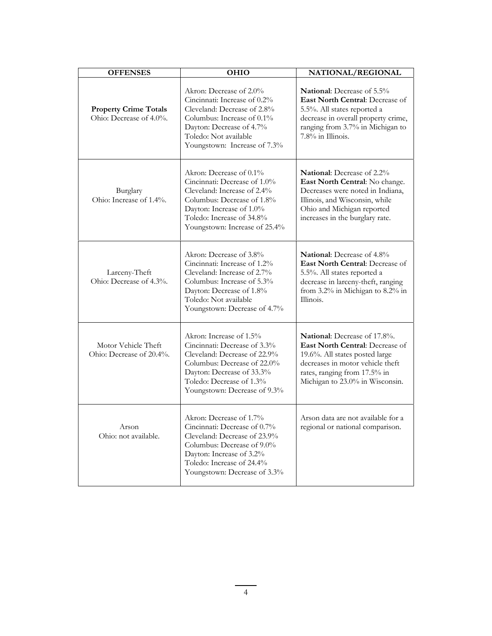| <b>OFFENSES</b>                                         | OHIO                                                                                                                                                                                                            | NATIONAL/REGIONAL                                                                                                                                                                                               |
|---------------------------------------------------------|-----------------------------------------------------------------------------------------------------------------------------------------------------------------------------------------------------------------|-----------------------------------------------------------------------------------------------------------------------------------------------------------------------------------------------------------------|
| <b>Property Crime Totals</b><br>Ohio: Decrease of 4.0%. | Akron: Decrease of 2.0%<br>Cincinnati: Increase of 0.2%<br>Cleveland: Decrease of 2.8%<br>Columbus: Increase of $0.1\%$<br>Dayton: Decrease of 4.7%<br>Toledo: Not available<br>Youngstown: Increase of 7.3%    | <b>National:</b> Decrease of 5.5%<br>East North Central: Decrease of<br>5.5%. All states reported a<br>decrease in overall property crime,<br>ranging from 3.7% in Michigan to<br>$7.8\%$ in Illinois.          |
| Burglary<br>Ohio: Increase of 1.4%.                     | Akron: Decrease of 0.1%<br>Cincinnati: Decrease of 1.0%<br>Cleveland: Increase of 2.4%<br>Columbus: Decrease of 1.8%<br>Dayton: Increase of 1.0%<br>Toledo: Increase of 34.8%<br>Youngstown: Increase of 25.4%  | National: Decrease of 2.2%<br>East North Central: No change.<br>Decreases were noted in Indiana,<br>Illinois, and Wisconsin, while<br>Ohio and Michigan reported<br>increases in the burglary rate.             |
| Larceny-Theft<br>Ohio: Decrease of 4.3%.                | Akron: Decrease of 3.8%<br>Cincinnati: Increase of 1.2%<br>Cleveland: Increase of 2.7%<br>Columbus: Increase of 5.3%<br>Dayton: Decrease of 1.8%<br>Toledo: Not available<br>Youngstown: Decrease of 4.7%       | <b>National:</b> Decrease of 4.8%<br><b>East North Central: Decrease of</b><br>5.5%. All states reported a<br>decrease in larceny-theft, ranging<br>from 3.2% in Michigan to 8.2% in<br>Illinois.               |
| Motor Vehicle Theft<br>Ohio: Decrease of 20.4%.         | Akron: Increase of 1.5%<br>Cincinnati: Decrease of 3.3%<br>Cleveland: Decrease of 22.9%<br>Columbus: Decrease of 22.0%<br>Dayton: Decrease of 33.3%<br>Toledo: Decrease of 1.3%<br>Youngstown: Decrease of 9.3% | <b>National:</b> Decrease of 17.8%.<br>East North Central: Decrease of<br>19.6%. All states posted large<br>decreases in motor vehicle theft<br>rates, ranging from 17.5% in<br>Michigan to 23.0% in Wisconsin. |
| Arson<br>Ohio: not available.                           | Akron: Decrease of 1.7%<br>Cincinnati: Decrease of 0.7%<br>Cleveland: Decrease of 23.9%<br>Columbus: Decrease of 9.0%<br>Dayton: Increase of 3.2%<br>Toledo: Increase of 24.4%<br>Youngstown: Decrease of 3.3%  | Arson data are not available for a<br>regional or national comparison.                                                                                                                                          |